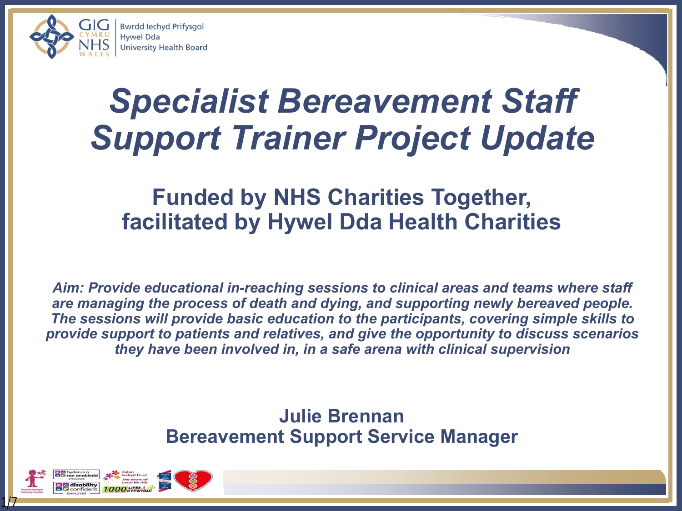

## *Specialist Bereavement Staff Support Trainer Project Update*

### **Funded by NHS Charities Together, facilitated by Hywel Dda Health Charities**

*Aim: Provide educational in-reaching sessions to clinical areas and teams where staff are managing the process of death and dying, and supporting newly bereaved people. The sessions will provide basic education to the participants, covering simple skills to provide support to patients and relatives, and give the opportunity to discuss scenarios they have been involved in, in a safe arena with clinical supervision*

#### **Julie Brennan Bereavement Support Service Manager**

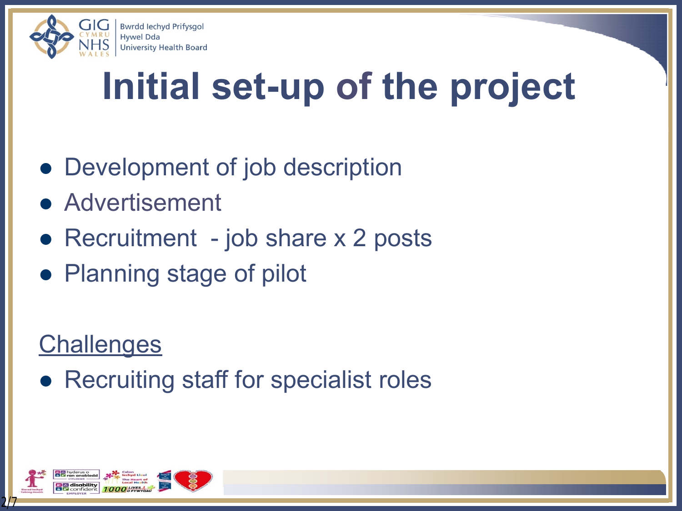

# **Initial set-up of the project**

- Development of job description
- **Advertisement**
- Recruitment job share  $x$  2 posts
- Planning stage of pilot

### **Challenges**

• Recruiting staff for specialist roles

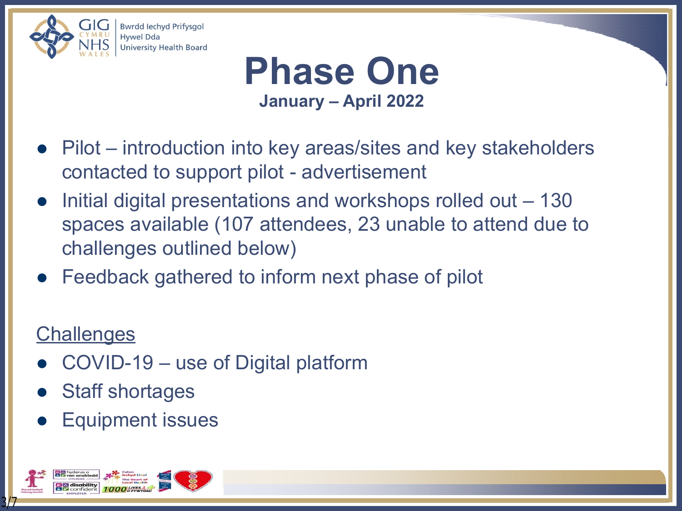



- Pilot introduction into key areas/sites and key stakeholders contacted to support pilot - advertisement
- Initial digital presentations and workshops rolled out 130 spaces available (107 attendees, 23 unable to attend due to challenges outlined below)
- Feedback gathered to inform next phase of pilot

### **Challenges**

- l COVID-19 use of Digital platform
- Staff shortages
- Equipment issues

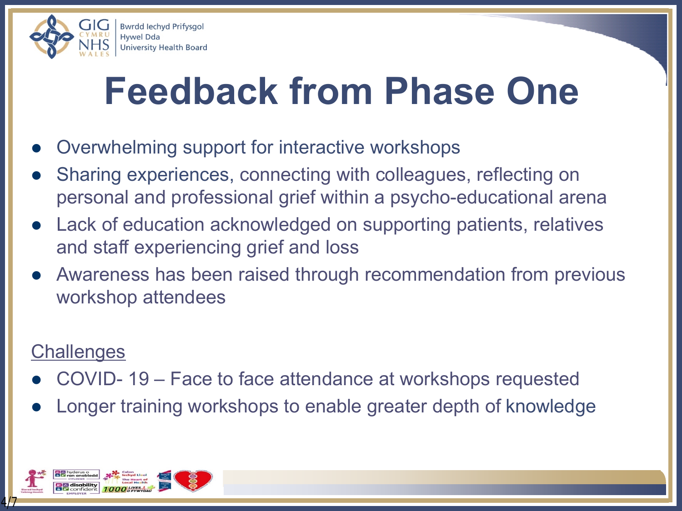

## **Feedback from Phase One**

- Overwhelming support for interactive workshops
- Sharing experiences, connecting with colleagues, reflecting on personal and professional grief within a psycho-educational arena
- Lack of education acknowledged on supporting patients, relatives and staff experiencing grief and loss
- Awareness has been raised through recommendation from previous workshop attendees

#### **Challenges**

- l COVID- 19 Face to face attendance at workshops requested
- Longer training workshops to enable greater depth of knowledge

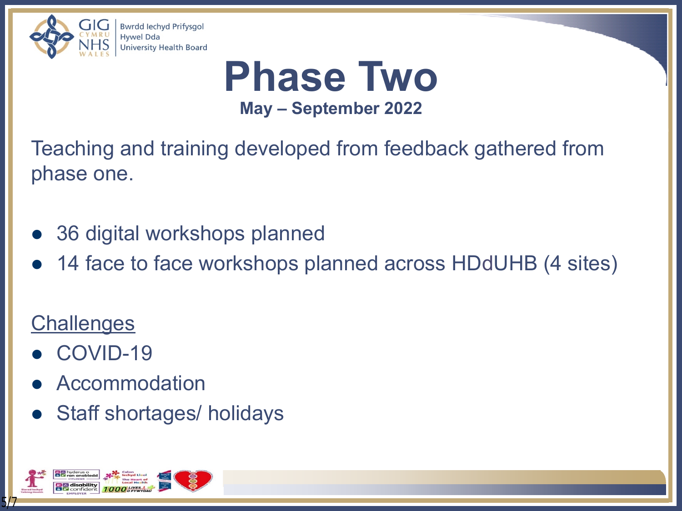

**Phase Two May – September 2022**

Teaching and training developed from feedback gathered from phase one.

- 36 digital workshops planned
- 14 face to face workshops planned across HDdUHB (4 sites)

### **Challenges**

- COVID-19
- **Accommodation**
- Staff shortages/ holidays

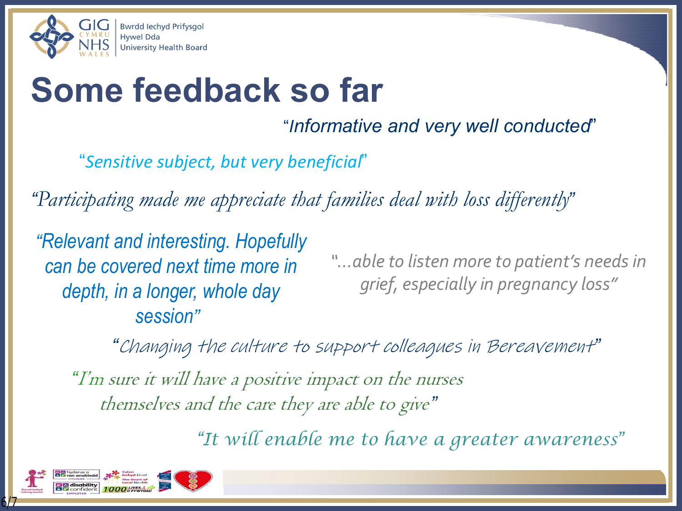

## **Some feedback so far**

"*Informative and very well conducted*"

"*Sensitive subject, but very beneficial*"

*"Participating made me appreciate that families deal with loss differently"*

*"Relevant and interesting. Hopefully can be covered next time more in depth, in a longer, whole day session"*

*"…able to listen more to patient's needs in grief, especially in pregnancy loss"*

*"I'm sure it will have a positive impact on the nurses themselves and the care they are able to give" "Changing the culture to support colleagues in Bereavement"*

*"It will enable me to have a greater awareness"*